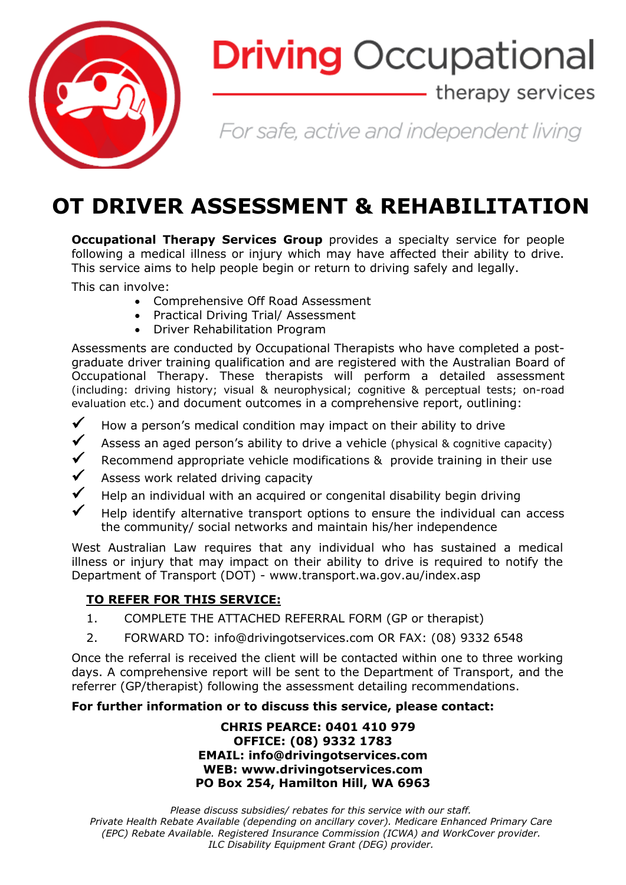

# **Driving Occupational**

### - therapy services

For safe, active and independent living

## **OT DRIVER ASSESSMENT & REHABILITATION**

**Occupational Therapy Services Group** provides a specialty service for people following a medical illness or injury which may have affected their ability to drive. This service aims to help people begin or return to driving safely and legally.

This can involve:

- Comprehensive Off Road Assessment
- Practical Driving Trial/ Assessment
- Driver Rehabilitation Program

Assessments are conducted by Occupational Therapists who have completed a postgraduate driver training qualification and are registered with the Australian Board of Occupational Therapy. These therapists will perform a detailed assessment (including: driving history; visual & neurophysical; cognitive & perceptual tests; on-road evaluation etc.) and document outcomes in a comprehensive report, outlining:

- $\checkmark$  How a person's medical condition may impact on their ability to drive
- $\checkmark$  Assess an aged person's ability to drive a vehicle (physical & cognitive capacity)
- Recommend appropriate vehicle modifications & provide training in their use
- Assess work related driving capacity
- Help an individual with an acquired or congenital disability begin driving
- Help identify alternative transport options to ensure the individual can access the community/ social networks and maintain his/her independence

West Australian Law requires that any individual who has sustained a medical illness or injury that may impact on their ability to drive is required to notify the Department of Transport (DOT) - www.transport.wa.gov.au/index.asp

#### **TO REFER FOR THIS SERVICE:**

- 1. COMPLETE THE ATTACHED REFERRAL FORM (GP or therapist)
- 2. FORWARD TO: info@drivingotservices.com OR FAX: (08) 9332 6548

Once the referral is received the client will be contacted within one to three working days. A comprehensive report will be sent to the Department of Transport, and the referrer (GP/therapist) following the assessment detailing recommendations.

#### **For further information or to discuss this service, please contact:**

#### **CHRIS PEARCE: 0401 410 979 OFFICE: (08) 9332 1783 EMAIL: info@drivingotservices.com WEB: www.drivingotservices.com PO Box 254, Hamilton Hill, WA 6963**

*Please discuss subsidies/ rebates for this service with our staff. Private Health Rebate Available (depending on ancillary cover). Medicare Enhanced Primary Care (EPC) Rebate Available. Registered Insurance Commission (ICWA) and WorkCover provider. ILC Disability Equipment Grant (DEG) provider.*